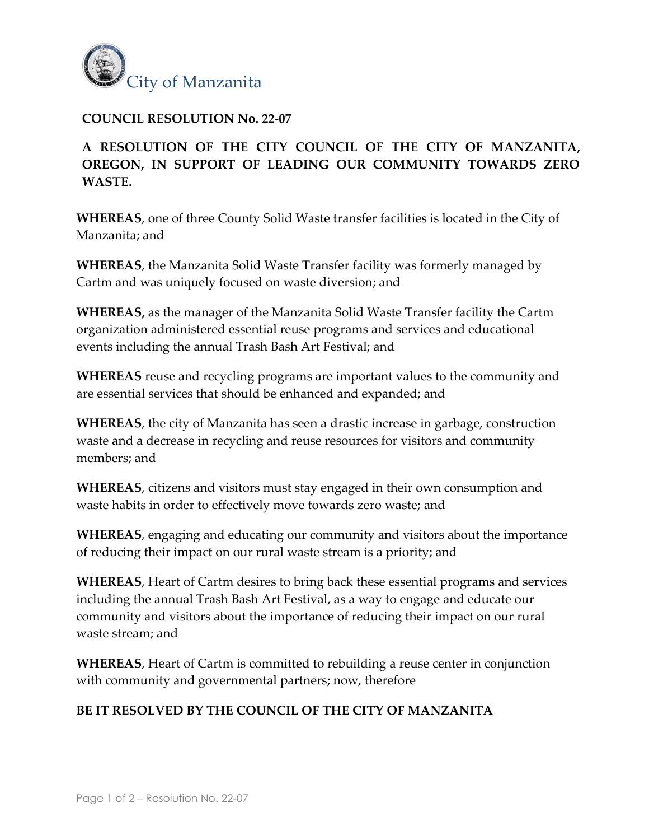

## **COUNCIL RESOLUTION No. 22-07**

## **A RESOLUTION OF THE CITY COUNCIL OF THE CITY OF MANZANITA, OREGON, IN SUPPORT OF LEADING OUR COMMUNITY TOWARDS ZERO WASTE.**

**WHEREAS**, one of three County Solid Waste transfer facilities is located in the City of Manzanita; and

**WHEREAS**, the Manzanita Solid Waste Transfer facility was formerly managed by Cartm and was uniquely focused on waste diversion; and

**WHEREAS,** as the manager of the Manzanita Solid Waste Transfer facility the Cartm organization administered essential reuse programs and services and educational events including the annual Trash Bash Art Festival; and

**WHEREAS** reuse and recycling programs are important values to the community and are essential services that should be enhanced and expanded; and

**WHEREAS**, the city of Manzanita has seen a drastic increase in garbage, construction waste and a decrease in recycling and reuse resources for visitors and community members; and

**WHEREAS**, citizens and visitors must stay engaged in their own consumption and waste habits in order to effectively move towards zero waste; and

**WHEREAS**, engaging and educating our community and visitors about the importance of reducing their impact on our rural waste stream is a priority; and

**WHEREAS**, Heart of Cartm desires to bring back these essential programs and services including the annual Trash Bash Art Festival, as a way to engage and educate our community and visitors about the importance of reducing their impact on our rural waste stream; and

**WHEREAS**, Heart of Cartm is committed to rebuilding a reuse center in conjunction with community and governmental partners; now, therefore

## **BE IT RESOLVED BY THE COUNCIL OF THE CITY OF MANZANITA**